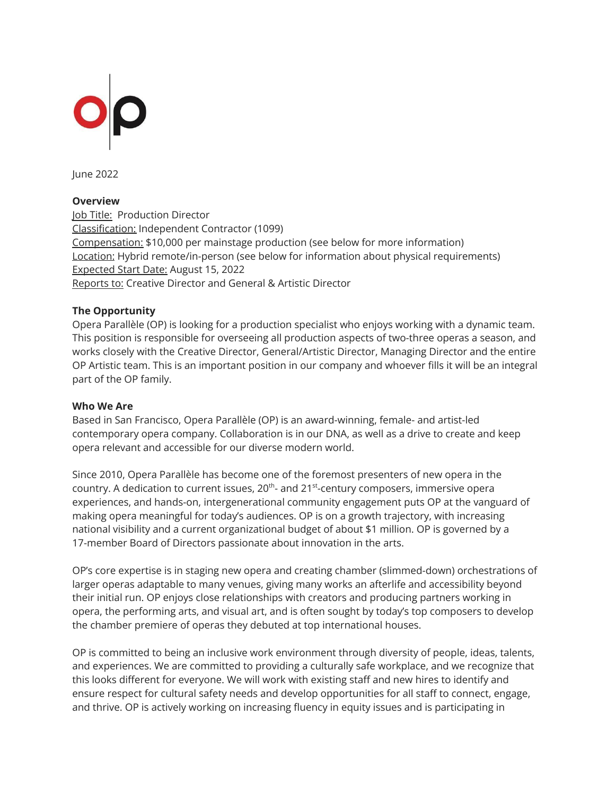

June 2022

### **Overview**

Job Title: Production Director Classification: Independent Contractor (1099) Compensation: \$10,000 per mainstage production (see below for more information) Location: Hybrid remote/in-person (see below for information about physical requirements) Expected Start Date: August 15, 2022 Reports to: Creative Director and General & Artistic Director

### **The Opportunity**

Opera Parallèle (OP) is looking for a production specialist who enjoys working with a dynamic team. This position is responsible for overseeing all production aspects of two-three operas a season, and works closely with the Creative Director, General/Artistic Director, Managing Director and the entire OP Artistic team. This is an important position in our company and whoever fills it will be an integral part of the OP family.

### **Who We Are**

Based in San Francisco, Opera Parallèle (OP) is an award-winning, female- and artist-led contemporary opera company. Collaboration is in our DNA, as well as a drive to create and keep opera relevant and accessible for our diverse modern world.

Since 2010, Opera Parallèle has become one of the foremost presenters of new opera in the country. A dedication to current issues,  $20^{\text{th}}$ - and  $21^{\text{st}}$ -century composers, immersive opera experiences, and hands-on, intergenerational community engagement puts OP at the vanguard of making opera meaningful for today's audiences. OP is on a growth trajectory, with increasing national visibility and a current organizational budget of about \$1 million. OP is governed by a 17-member Board of Directors passionate about innovation in the arts.

OP's core expertise is in staging new opera and creating chamber (slimmed-down) orchestrations of larger operas adaptable to many venues, giving many works an afterlife and accessibility beyond their initial run. OP enjoys close relationships with creators and producing partners working in opera, the performing arts, and visual art, and is often sought by today's top composers to develop the chamber premiere of operas they debuted at top international houses.

OP is committed to being an inclusive work environment through diversity of people, ideas, talents, and experiences. We are committed to providing a culturally safe workplace, and we recognize that this looks different for everyone. We will work with existing staff and new hires to identify and ensure respect for cultural safety needs and develop opportunities for all staff to connect, engage, and thrive. OP is actively working on increasing fluency in equity issues and is participating in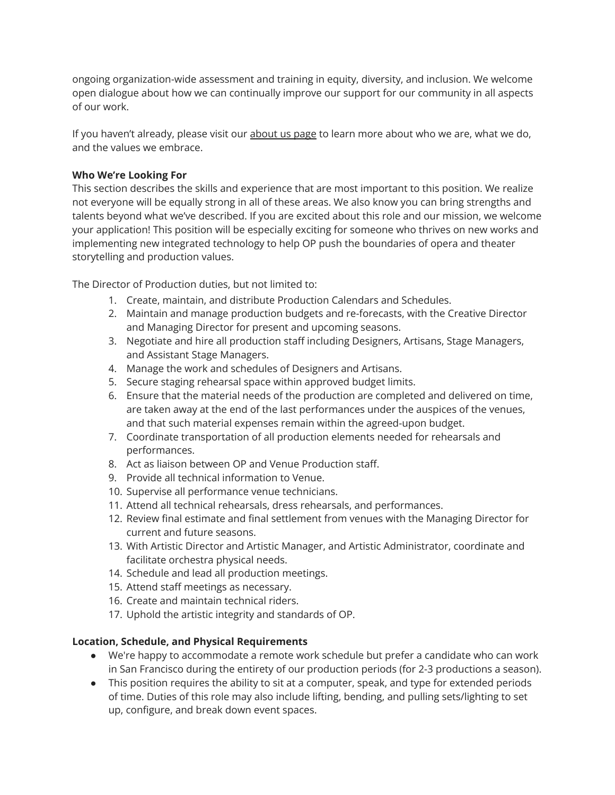ongoing organization-wide assessment and training in equity, diversity, and inclusion. We welcome open dialogue about how we can continually improve our support for our community in all aspects of our work.

If you haven't already, please visit our [about](https://operaparallele.org/about-us/) us page to learn more about who we are, what we do, and the values we embrace.

# **Who We're Looking For**

This section describes the skills and experience that are most important to this position. We realize not everyone will be equally strong in all of these areas. We also know you can bring strengths and talents beyond what we've described. If you are excited about this role and our mission, we welcome your application! This position will be especially exciting for someone who thrives on new works and implementing new integrated technology to help OP push the boundaries of opera and theater storytelling and production values.

The Director of Production duties, but not limited to:

- 1. Create, maintain, and distribute Production Calendars and Schedules.
- 2. Maintain and manage production budgets and re-forecasts, with the Creative Director and Managing Director for present and upcoming seasons.
- 3. Negotiate and hire all production staff including Designers, Artisans, Stage Managers, and Assistant Stage Managers.
- 4. Manage the work and schedules of Designers and Artisans.
- 5. Secure staging rehearsal space within approved budget limits.
- 6. Ensure that the material needs of the production are completed and delivered on time, are taken away at the end of the last performances under the auspices of the venues, and that such material expenses remain within the agreed-upon budget.
- 7. Coordinate transportation of all production elements needed for rehearsals and performances.
- 8. Act as liaison between OP and Venue Production staff.
- 9. Provide all technical information to Venue.
- 10. Supervise all performance venue technicians.
- 11. Attend all technical rehearsals, dress rehearsals, and performances.
- 12. Review final estimate and final settlement from venues with the Managing Director for current and future seasons.
- 13. With Artistic Director and Artistic Manager, and Artistic Administrator, coordinate and facilitate orchestra physical needs.
- 14. Schedule and lead all production meetings.
- 15. Attend staff meetings as necessary.
- 16. Create and maintain technical riders.
- 17. Uphold the artistic integrity and standards of OP.

## **Location, Schedule, and Physical Requirements**

- We're happy to accommodate a remote work schedule but prefer a candidate who can work in San Francisco during the entirety of our production periods (for 2-3 productions a season).
- This position requires the ability to sit at a computer, speak, and type for extended periods of time. Duties of this role may also include lifting, bending, and pulling sets/lighting to set up, configure, and break down event spaces.